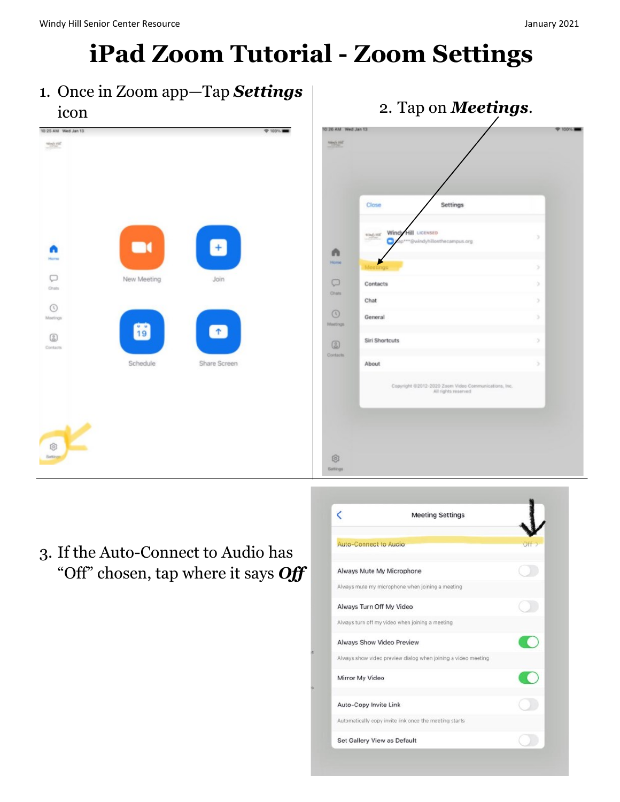## iPad Zoom Tutorial - Zoom Settings

1. Once in Zoom app—Tap Settings icon  $\overline{11}$   $\overline{1}$   $\overline{2}$ . Tap on **Meetings.** 





3. If the Auto-Connect to Audio has "Off" chosen, tap where it says Off

|                              | <b>Meeting Settings</b>                                       |  |
|------------------------------|---------------------------------------------------------------|--|
| <b>Auto-Connect to Audio</b> |                                                               |  |
| Always Mute My Microphone    |                                                               |  |
|                              | Always mute my microphone when joining a meeting              |  |
| Always Turn Off My Video     |                                                               |  |
|                              | Always turn off my video when joining a meeting               |  |
| Always Show Video Preview    |                                                               |  |
|                              | Always show video preview dialog when joining a video meeting |  |
| Mirror My Video              |                                                               |  |
| Auto-Copy Invite Link        |                                                               |  |
|                              | Automatically copy invite link once the meeting starts        |  |
| Set Gallery View as Default  |                                                               |  |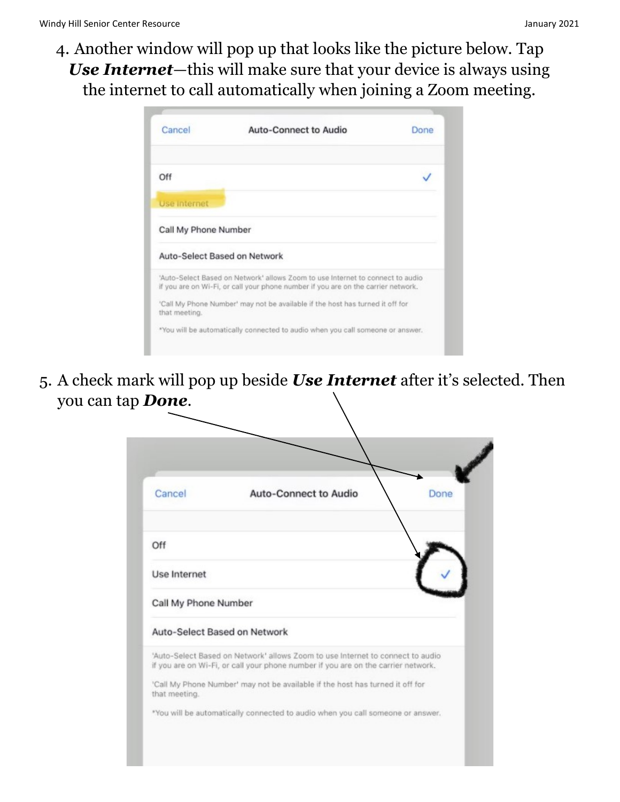4. Another window will pop up that looks like the picture below. Tap Use Internet-this will make sure that your device is always using the internet to call automatically when joining a Zoom meeting.

| Cancel               | <b>Auto-Connect to Audio</b>                                                                                                                                        | Done |
|----------------------|---------------------------------------------------------------------------------------------------------------------------------------------------------------------|------|
| Off                  |                                                                                                                                                                     |      |
| Use Internet         |                                                                                                                                                                     |      |
| Call My Phone Number |                                                                                                                                                                     |      |
|                      | Auto-Select Based on Network                                                                                                                                        |      |
|                      | 'Auto-Select Based on Network' allows Zoom to use Internet to connect to audio<br>if you are on Wi-Fi, or call your phone number if you are on the carrier network. |      |
| that meeting.        | 'Call My Phone Number' may not be available if the host has turned it off for                                                                                       |      |
|                      | *You will be automatically connected to audio when you call someone or answer.                                                                                      |      |

5. A check mark will pop up beside Use Internet after it's selected. Then you can tap Done.

| Cancel               | <b>Auto-Connect to Audio</b>                                                                                                                                        | <b>Done</b> |  |  |
|----------------------|---------------------------------------------------------------------------------------------------------------------------------------------------------------------|-------------|--|--|
| Off                  |                                                                                                                                                                     |             |  |  |
| Use Internet         |                                                                                                                                                                     |             |  |  |
| Call My Phone Number |                                                                                                                                                                     |             |  |  |
|                      | Auto-Select Based on Network                                                                                                                                        |             |  |  |
|                      | 'Auto-Select Based on Network' allows Zoom to use Internet to connect to audio<br>if you are on Wi-Fi, or call your phone number if you are on the carrier network. |             |  |  |
| that meeting.        | 'Call My Phone Number' may not be available if the host has turned it off for                                                                                       |             |  |  |
|                      | *You will be automatically connected to audio when you call someone or answer.                                                                                      |             |  |  |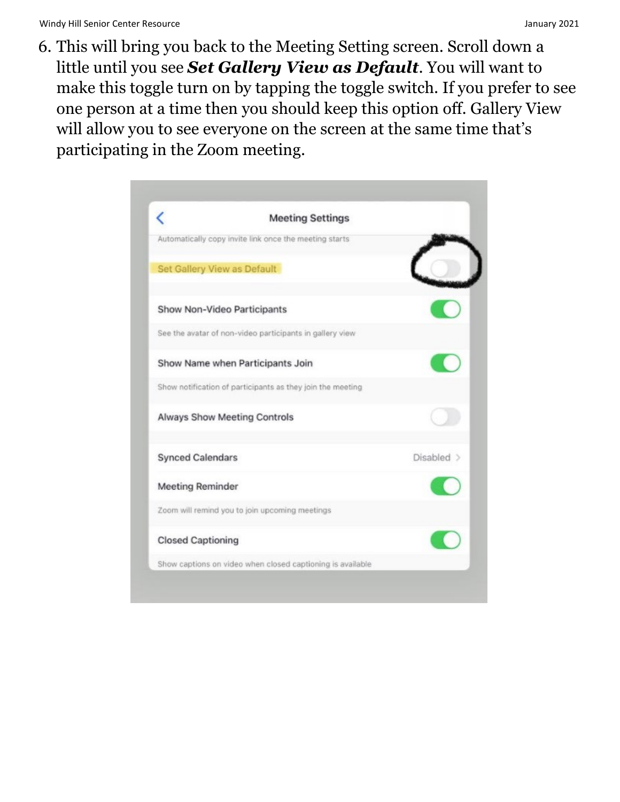6. This will bring you back to the Meeting Setting screen. Scroll down a little until you see Set Gallery View as Default. You will want to make this toggle turn on by tapping the toggle switch. If you prefer to see one person at a time then you should keep this option off. Gallery View will allow you to see everyone on the screen at the same time that's participating in the Zoom meeting.